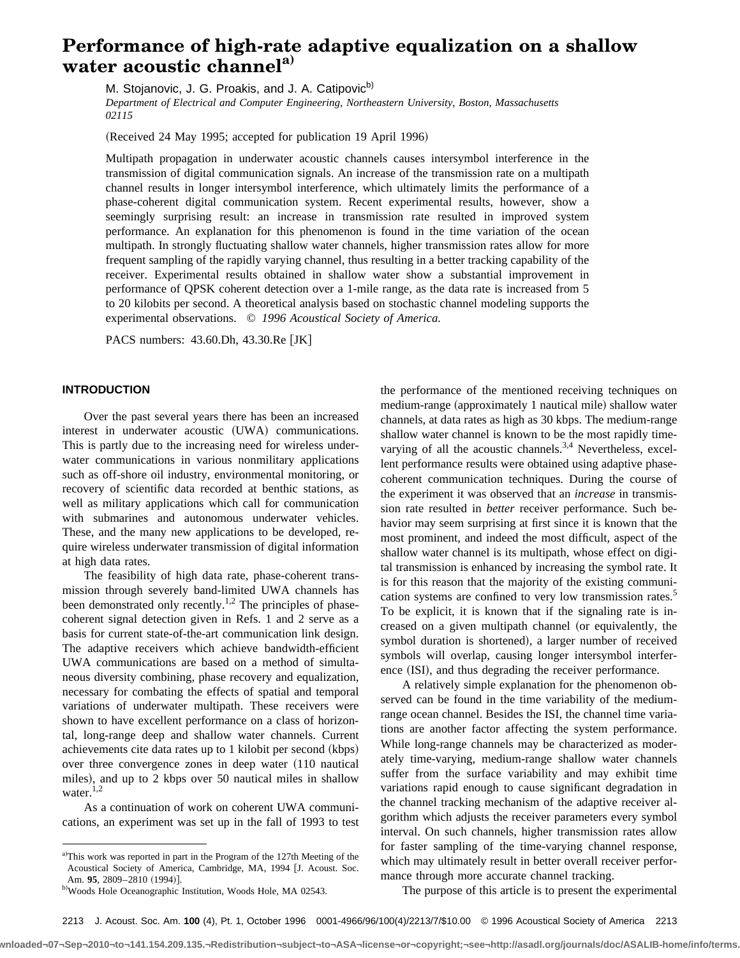# **Performance of high-rate adaptive equalization on a shallow water acoustic channela)**

M. Stojanovic, J. G. Proakis, and J. A. Catipovic<sup>b)</sup>

*Department of Electrical and Computer Engineering, Northeastern University, Boston, Massachusetts 02115*

(Received 24 May 1995; accepted for publication 19 April 1996)

Multipath propagation in underwater acoustic channels causes intersymbol interference in the transmission of digital communication signals. An increase of the transmission rate on a multipath channel results in longer intersymbol interference, which ultimately limits the performance of a phase-coherent digital communication system. Recent experimental results, however, show a seemingly surprising result: an increase in transmission rate resulted in improved system performance. An explanation for this phenomenon is found in the time variation of the ocean multipath. In strongly fluctuating shallow water channels, higher transmission rates allow for more frequent sampling of the rapidly varying channel, thus resulting in a better tracking capability of the receiver. Experimental results obtained in shallow water show a substantial improvement in performance of QPSK coherent detection over a 1-mile range, as the data rate is increased from 5 to 20 kilobits per second. A theoretical analysis based on stochastic channel modeling supports the experimental observations. © *1996 Acoustical Society of America.*

PACS numbers: 43.60.Dh, 43.30.Re [JK]

## **INTRODUCTION**

Over the past several years there has been an increased interest in underwater acoustic (UWA) communications. This is partly due to the increasing need for wireless underwater communications in various nonmilitary applications such as off-shore oil industry, environmental monitoring, or recovery of scientific data recorded at benthic stations, as well as military applications which call for communication with submarines and autonomous underwater vehicles. These, and the many new applications to be developed, require wireless underwater transmission of digital information at high data rates.

The feasibility of high data rate, phase-coherent transmission through severely band-limited UWA channels has been demonstrated only recently.<sup>1,2</sup> The principles of phasecoherent signal detection given in Refs. 1 and 2 serve as a basis for current state-of-the-art communication link design. The adaptive receivers which achieve bandwidth-efficient UWA communications are based on a method of simultaneous diversity combining, phase recovery and equalization, necessary for combating the effects of spatial and temporal variations of underwater multipath. These receivers were shown to have excellent performance on a class of horizontal, long-range deep and shallow water channels. Current achievements cite data rates up to 1 kilobit per second (kbps) over three convergence zones in deep water  $(110$  nautical miles), and up to 2 kbps over 50 nautical miles in shallow water. $1,2$ 

As a continuation of work on coherent UWA communications, an experiment was set up in the fall of 1993 to test the performance of the mentioned receiving techniques on medium-range (approximately 1 nautical mile) shallow water channels, at data rates as high as 30 kbps. The medium-range shallow water channel is known to be the most rapidly timevarying of all the acoustic channels.<sup>3,4</sup> Nevertheless, excellent performance results were obtained using adaptive phasecoherent communication techniques. During the course of the experiment it was observed that an *increase* in transmission rate resulted in *better* receiver performance. Such behavior may seem surprising at first since it is known that the most prominent, and indeed the most difficult, aspect of the shallow water channel is its multipath, whose effect on digital transmission is enhanced by increasing the symbol rate. It is for this reason that the majority of the existing communication systems are confined to very low transmission rates.<sup>5</sup> To be explicit, it is known that if the signaling rate is increased on a given multipath channel (or equivalently, the symbol duration is shortened), a larger number of received symbols will overlap, causing longer intersymbol interference (ISI), and thus degrading the receiver performance.

A relatively simple explanation for the phenomenon observed can be found in the time variability of the mediumrange ocean channel. Besides the ISI, the channel time variations are another factor affecting the system performance. While long-range channels may be characterized as moderately time-varying, medium-range shallow water channels suffer from the surface variability and may exhibit time variations rapid enough to cause significant degradation in the channel tracking mechanism of the adaptive receiver algorithm which adjusts the receiver parameters every symbol interval. On such channels, higher transmission rates allow for faster sampling of the time-varying channel response, which may ultimately result in better overall receiver performance through more accurate channel tracking.

The purpose of this article is to present the experimental

a)This work was reported in part in the Program of the 127th Meeting of the Acoustical Society of America, Cambridge, MA, 1994 [J. Acoust. Soc. Am. 95, 2809–2810 (1994)].

b)Woods Hole Oceanographic Institution, Woods Hole, MA 02543.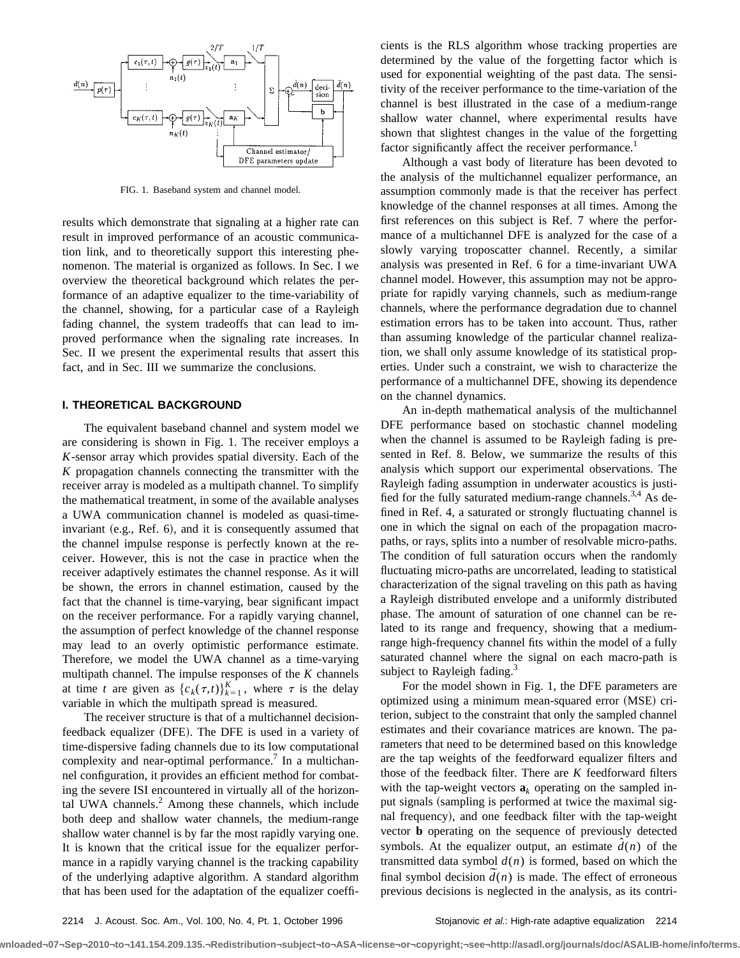

FIG. 1. Baseband system and channel model.

results which demonstrate that signaling at a higher rate can result in improved performance of an acoustic communication link, and to theoretically support this interesting phenomenon. The material is organized as follows. In Sec. I we overview the theoretical background which relates the performance of an adaptive equalizer to the time-variability of the channel, showing, for a particular case of a Rayleigh fading channel, the system tradeoffs that can lead to improved performance when the signaling rate increases. In Sec. II we present the experimental results that assert this fact, and in Sec. III we summarize the conclusions.

#### **I. THEORETICAL BACKGROUND**

The equivalent baseband channel and system model we are considering is shown in Fig. 1. The receiver employs a *K*-sensor array which provides spatial diversity. Each of the *K* propagation channels connecting the transmitter with the receiver array is modeled as a multipath channel. To simplify the mathematical treatment, in some of the available analyses a UWA communication channel is modeled as quasi-timeinvariant  $(e.g., Ref. 6)$ , and it is consequently assumed that the channel impulse response is perfectly known at the receiver. However, this is not the case in practice when the receiver adaptively estimates the channel response. As it will be shown, the errors in channel estimation, caused by the fact that the channel is time-varying, bear significant impact on the receiver performance. For a rapidly varying channel, the assumption of perfect knowledge of the channel response may lead to an overly optimistic performance estimate. Therefore, we model the UWA channel as a time-varying multipath channel. The impulse responses of the *K* channels at time *t* are given as  $\{c_k(\tau,t)\}_{k=1}^K$ , where  $\tau$  is the delay variable in which the multipath spread is measured.

The receiver structure is that of a multichannel decisionfeedback equalizer (DFE). The DFE is used in a variety of time-dispersive fading channels due to its low computational complexity and near-optimal performance.<sup>7</sup> In a multichannel configuration, it provides an efficient method for combating the severe ISI encountered in virtually all of the horizontal UWA channels.<sup>2</sup> Among these channels, which include both deep and shallow water channels, the medium-range shallow water channel is by far the most rapidly varying one. It is known that the critical issue for the equalizer performance in a rapidly varying channel is the tracking capability of the underlying adaptive algorithm. A standard algorithm that has been used for the adaptation of the equalizer coefficients is the RLS algorithm whose tracking properties are determined by the value of the forgetting factor which is used for exponential weighting of the past data. The sensitivity of the receiver performance to the time-variation of the channel is best illustrated in the case of a medium-range shallow water channel, where experimental results have shown that slightest changes in the value of the forgetting factor significantly affect the receiver performance.<sup>1</sup>

Although a vast body of literature has been devoted to the analysis of the multichannel equalizer performance, an assumption commonly made is that the receiver has perfect knowledge of the channel responses at all times. Among the first references on this subject is Ref. 7 where the performance of a multichannel DFE is analyzed for the case of a slowly varying troposcatter channel. Recently, a similar analysis was presented in Ref. 6 for a time-invariant UWA channel model. However, this assumption may not be appropriate for rapidly varying channels, such as medium-range channels, where the performance degradation due to channel estimation errors has to be taken into account. Thus, rather than assuming knowledge of the particular channel realization, we shall only assume knowledge of its statistical properties. Under such a constraint, we wish to characterize the performance of a multichannel DFE, showing its dependence on the channel dynamics.

An in-depth mathematical analysis of the multichannel DFE performance based on stochastic channel modeling when the channel is assumed to be Rayleigh fading is presented in Ref. 8. Below, we summarize the results of this analysis which support our experimental observations. The Rayleigh fading assumption in underwater acoustics is justified for the fully saturated medium-range channels.<sup>3,4</sup> As defined in Ref. 4, a saturated or strongly fluctuating channel is one in which the signal on each of the propagation macropaths, or rays, splits into a number of resolvable micro-paths. The condition of full saturation occurs when the randomly fluctuating micro-paths are uncorrelated, leading to statistical characterization of the signal traveling on this path as having a Rayleigh distributed envelope and a uniformly distributed phase. The amount of saturation of one channel can be related to its range and frequency, showing that a mediumrange high-frequency channel fits within the model of a fully saturated channel where the signal on each macro-path is subject to Rayleigh fading.<sup>3</sup>

For the model shown in Fig. 1, the DFE parameters are optimized using a minimum mean-squared error (MSE) criterion, subject to the constraint that only the sampled channel estimates and their covariance matrices are known. The parameters that need to be determined based on this knowledge are the tap weights of the feedforward equalizer filters and those of the feedback filter. There are *K* feedforward filters with the tap-weight vectors  $a_k$  operating on the sampled input signals (sampling is performed at twice the maximal signal frequency), and one feedback filter with the tap-weight vector **b** operating on the sequence of previously detected symbols. At the equalizer output, an estimate  $\hat{d}(n)$  of the transmitted data symbol  $d(n)$  is formed, based on which the transmitted data symbol  $d(n)$  is formed, based on which the<br>final symbol decision  $\tilde{d}(n)$  is made. The effect of erroneous previous decisions is neglected in the analysis, as its contri-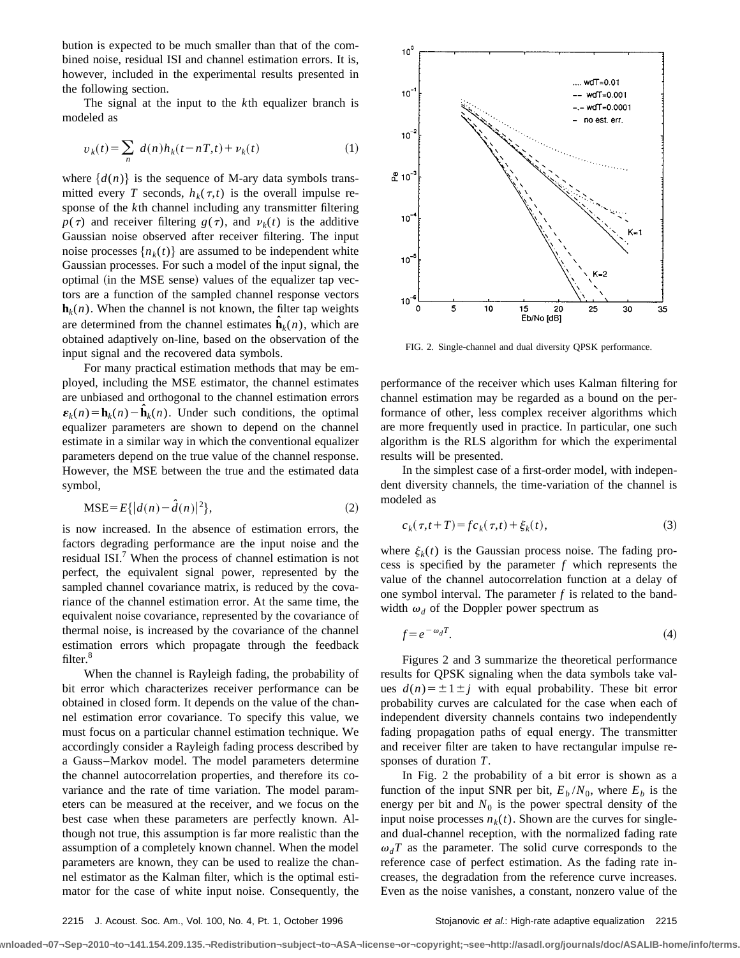bution is expected to be much smaller than that of the combined noise, residual ISI and channel estimation errors. It is, however, included in the experimental results presented in the following section.

The signal at the input to the *k*th equalizer branch is modeled as

$$
v_k(t) = \sum_n d(n)h_k(t - nT, t) + \nu_k(t)
$$
 (1)

where  $\{d(n)\}\$ is the sequence of M-ary data symbols transmitted every *T* seconds,  $h_k(\tau,t)$  is the overall impulse response of the *k*th channel including any transmitter filtering  $p(\tau)$  and receiver filtering  $g(\tau)$ , and  $v_k(t)$  is the additive Gaussian noise observed after receiver filtering. The input noise processes  $\{n_k(t)\}\$ are assumed to be independent white Gaussian processes. For such a model of the input signal, the optimal (in the MSE sense) values of the equalizer tap vectors are a function of the sampled channel response vectors **. When the channel is not known, the filter tap weights** are determined from the channel estimates  $\hat{\mathbf{h}}_k(n)$ , which are obtained adaptively on-line, based on the observation of the input signal and the recovered data symbols.

For many practical estimation methods that may be employed, including the MSE estimator, the channel estimates are unbiased and orthogonal to the channel estimation errors  $\mathbf{\varepsilon}_k(n) = \mathbf{h}_k(n) - \hat{\mathbf{h}}_k(n)$ . Under such conditions, the optimal equalizer parameters are shown to depend on the channel estimate in a similar way in which the conventional equalizer parameters depend on the true value of the channel response. However, the MSE between the true and the estimated data symbol,

$$
MSE = E\{|d(n) - \hat{d}(n)|^2\},
$$
 (2)

is now increased. In the absence of estimation errors, the factors degrading performance are the input noise and the residual ISI.<sup>7</sup> When the process of channel estimation is not perfect, the equivalent signal power, represented by the sampled channel covariance matrix, is reduced by the covariance of the channel estimation error. At the same time, the equivalent noise covariance, represented by the covariance of thermal noise, is increased by the covariance of the channel estimation errors which propagate through the feedback filter.<sup>8</sup>

When the channel is Rayleigh fading, the probability of bit error which characterizes receiver performance can be obtained in closed form. It depends on the value of the channel estimation error covariance. To specify this value, we must focus on a particular channel estimation technique. We accordingly consider a Rayleigh fading process described by a Gauss–Markov model. The model parameters determine the channel autocorrelation properties, and therefore its covariance and the rate of time variation. The model parameters can be measured at the receiver, and we focus on the best case when these parameters are perfectly known. Although not true, this assumption is far more realistic than the assumption of a completely known channel. When the model parameters are known, they can be used to realize the channel estimator as the Kalman filter, which is the optimal estimator for the case of white input noise. Consequently, the



FIG. 2. Single-channel and dual diversity QPSK performance.

performance of the receiver which uses Kalman filtering for channel estimation may be regarded as a bound on the performance of other, less complex receiver algorithms which are more frequently used in practice. In particular, one such algorithm is the RLS algorithm for which the experimental results will be presented.

In the simplest case of a first-order model, with independent diversity channels, the time-variation of the channel is modeled as

$$
c_k(\tau, t+T) = fc_k(\tau, t) + \xi_k(t),\tag{3}
$$

where  $\xi_k(t)$  is the Gaussian process noise. The fading process is specified by the parameter *f* which represents the value of the channel autocorrelation function at a delay of one symbol interval. The parameter *f* is related to the bandwidth  $\omega_d$  of the Doppler power spectrum as

$$
f = e^{-\omega_d T}.\tag{4}
$$

Figures 2 and 3 summarize the theoretical performance results for QPSK signaling when the data symbols take values  $d(n) = \pm 1 \pm j$  with equal probability. These bit error probability curves are calculated for the case when each of independent diversity channels contains two independently fading propagation paths of equal energy. The transmitter and receiver filter are taken to have rectangular impulse responses of duration *T*.

In Fig. 2 the probability of a bit error is shown as a function of the input SNR per bit,  $E_b/N_0$ , where  $E_b$  is the energy per bit and  $N_0$  is the power spectral density of the input noise processes  $n_k(t)$ . Shown are the curves for singleand dual-channel reception, with the normalized fading rate  $\omega_d T$  as the parameter. The solid curve corresponds to the reference case of perfect estimation. As the fading rate increases, the degradation from the reference curve increases. Even as the noise vanishes, a constant, nonzero value of the

**Downloaded¬07¬Sep¬2010¬to¬141.154.209.135.¬Redistribution¬subject¬to¬ASA¬license¬or¬copyright;¬see¬http://asadl.org/journals/doc/ASALIB-home/info/terms.jsp**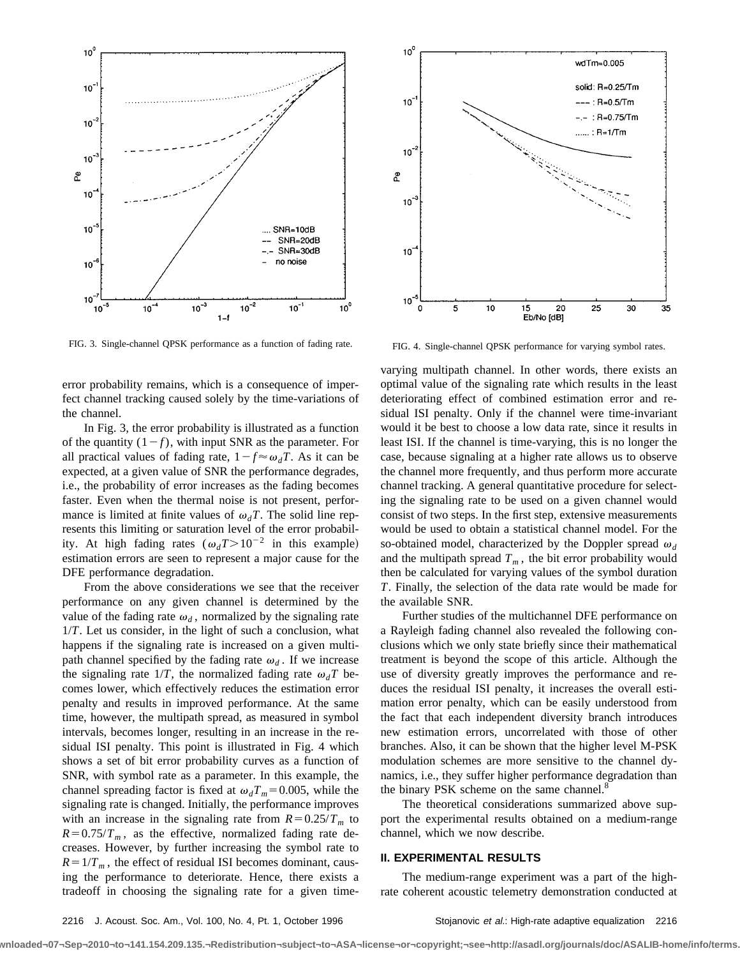

FIG. 3. Single-channel QPSK performance as a function of fading rate. FIG. 4. Single-channel QPSK performance for varying symbol rates.

error probability remains, which is a consequence of imperfect channel tracking caused solely by the time-variations of the channel.

In Fig. 3, the error probability is illustrated as a function of the quantity  $(1-f)$ , with input SNR as the parameter. For all practical values of fading rate,  $1-f \approx \omega_d T$ . As it can be expected, at a given value of SNR the performance degrades, i.e., the probability of error increases as the fading becomes faster. Even when the thermal noise is not present, performance is limited at finite values of  $\omega_d T$ . The solid line represents this limiting or saturation level of the error probability. At high fading rates  $(\omega_d T > 10^{-2}$  in this example) estimation errors are seen to represent a major cause for the DFE performance degradation.

From the above considerations we see that the receiver performance on any given channel is determined by the value of the fading rate  $\omega_d$ , normalized by the signaling rate 1/*T*. Let us consider, in the light of such a conclusion, what happens if the signaling rate is increased on a given multipath channel specified by the fading rate  $\omega_d$ . If we increase the signaling rate  $1/T$ , the normalized fading rate  $\omega_d T$  becomes lower, which effectively reduces the estimation error penalty and results in improved performance. At the same time, however, the multipath spread, as measured in symbol intervals, becomes longer, resulting in an increase in the residual ISI penalty. This point is illustrated in Fig. 4 which shows a set of bit error probability curves as a function of SNR, with symbol rate as a parameter. In this example, the channel spreading factor is fixed at  $\omega_d T_m = 0.005$ , while the signaling rate is changed. Initially, the performance improves with an increase in the signaling rate from  $R=0.25/T_m$  to  $R=0.75/T_m$ , as the effective, normalized fading rate decreases. However, by further increasing the symbol rate to  $R=1/T_m$ , the effect of residual ISI becomes dominant, causing the performance to deteriorate. Hence, there exists a tradeoff in choosing the signaling rate for a given time-



varying multipath channel. In other words, there exists an optimal value of the signaling rate which results in the least deteriorating effect of combined estimation error and residual ISI penalty. Only if the channel were time-invariant would it be best to choose a low data rate, since it results in least ISI. If the channel is time-varying, this is no longer the case, because signaling at a higher rate allows us to observe the channel more frequently, and thus perform more accurate channel tracking. A general quantitative procedure for selecting the signaling rate to be used on a given channel would consist of two steps. In the first step, extensive measurements would be used to obtain a statistical channel model. For the so-obtained model, characterized by the Doppler spread  $\omega_d$ and the multipath spread  $T_m$ , the bit error probability would then be calculated for varying values of the symbol duration *T*. Finally, the selection of the data rate would be made for the available SNR.

Further studies of the multichannel DFE performance on a Rayleigh fading channel also revealed the following conclusions which we only state briefly since their mathematical treatment is beyond the scope of this article. Although the use of diversity greatly improves the performance and reduces the residual ISI penalty, it increases the overall estimation error penalty, which can be easily understood from the fact that each independent diversity branch introduces new estimation errors, uncorrelated with those of other branches. Also, it can be shown that the higher level M-PSK modulation schemes are more sensitive to the channel dynamics, i.e., they suffer higher performance degradation than the binary PSK scheme on the same channel.<sup>8</sup>

The theoretical considerations summarized above support the experimental results obtained on a medium-range channel, which we now describe.

## **II. EXPERIMENTAL RESULTS**

The medium-range experiment was a part of the highrate coherent acoustic telemetry demonstration conducted at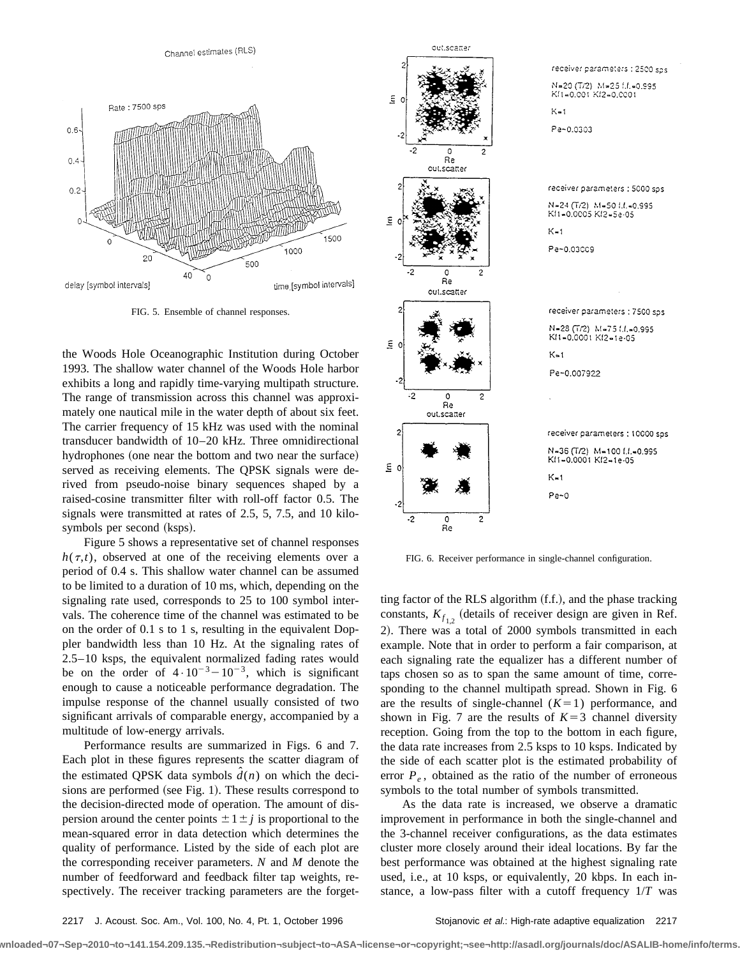Channel estimates (RLS)



FIG. 5. Ensemble of channel responses.

the Woods Hole Oceanographic Institution during October 1993. The shallow water channel of the Woods Hole harbor exhibits a long and rapidly time-varying multipath structure. The range of transmission across this channel was approximately one nautical mile in the water depth of about six feet. The carrier frequency of 15 kHz was used with the nominal transducer bandwidth of 10–20 kHz. Three omnidirectional hydrophones (one near the bottom and two near the surface) served as receiving elements. The QPSK signals were derived from pseudo-noise binary sequences shaped by a raised-cosine transmitter filter with roll-off factor 0.5. The signals were transmitted at rates of 2.5, 5, 7.5, and 10 kilosymbols per second (ksps).

Figure 5 shows a representative set of channel responses  $h(\tau,t)$ , observed at one of the receiving elements over a period of 0.4 s. This shallow water channel can be assumed to be limited to a duration of 10 ms, which, depending on the signaling rate used, corresponds to 25 to 100 symbol intervals. The coherence time of the channel was estimated to be on the order of 0.1 s to 1 s, resulting in the equivalent Doppler bandwidth less than 10 Hz. At the signaling rates of 2.5–10 ksps, the equivalent normalized fading rates would be on the order of  $4 \cdot 10^{-3} - 10^{-3}$ , which is significant enough to cause a noticeable performance degradation. The impulse response of the channel usually consisted of two significant arrivals of comparable energy, accompanied by a multitude of low-energy arrivals.

Performance results are summarized in Figs. 6 and 7. Each plot in these figures represents the scatter diagram of the estimated QPSK data symbols  $\hat{d}(n)$  on which the decisions are performed (see Fig. 1). These results correspond to the decision-directed mode of operation. The amount of dispersion around the center points  $\pm 1 \pm j$  is proportional to the mean-squared error in data detection which determines the quality of performance. Listed by the side of each plot are the corresponding receiver parameters. *N* and *M* denote the number of feedforward and feedback filter tap weights, respectively. The receiver tracking parameters are the forget-



FIG. 6. Receiver performance in single-channel configuration.

ting factor of the RLS algorithm  $(f.f.)$ , and the phase tracking constants,  $K_{f_{1,2}}$  (details of receiver design are given in Ref. 2). There was a total of 2000 symbols transmitted in each example. Note that in order to perform a fair comparison, at each signaling rate the equalizer has a different number of taps chosen so as to span the same amount of time, corresponding to the channel multipath spread. Shown in Fig. 6 are the results of single-channel  $(K=1)$  performance, and shown in Fig. 7 are the results of  $K=3$  channel diversity reception. Going from the top to the bottom in each figure, the data rate increases from 2.5 ksps to 10 ksps. Indicated by the side of each scatter plot is the estimated probability of error  $P_e$ , obtained as the ratio of the number of erroneous symbols to the total number of symbols transmitted.

As the data rate is increased, we observe a dramatic improvement in performance in both the single-channel and the 3-channel receiver configurations, as the data estimates cluster more closely around their ideal locations. By far the best performance was obtained at the highest signaling rate used, i.e., at 10 ksps, or equivalently, 20 kbps. In each instance, a low-pass filter with a cutoff frequency 1/*T* was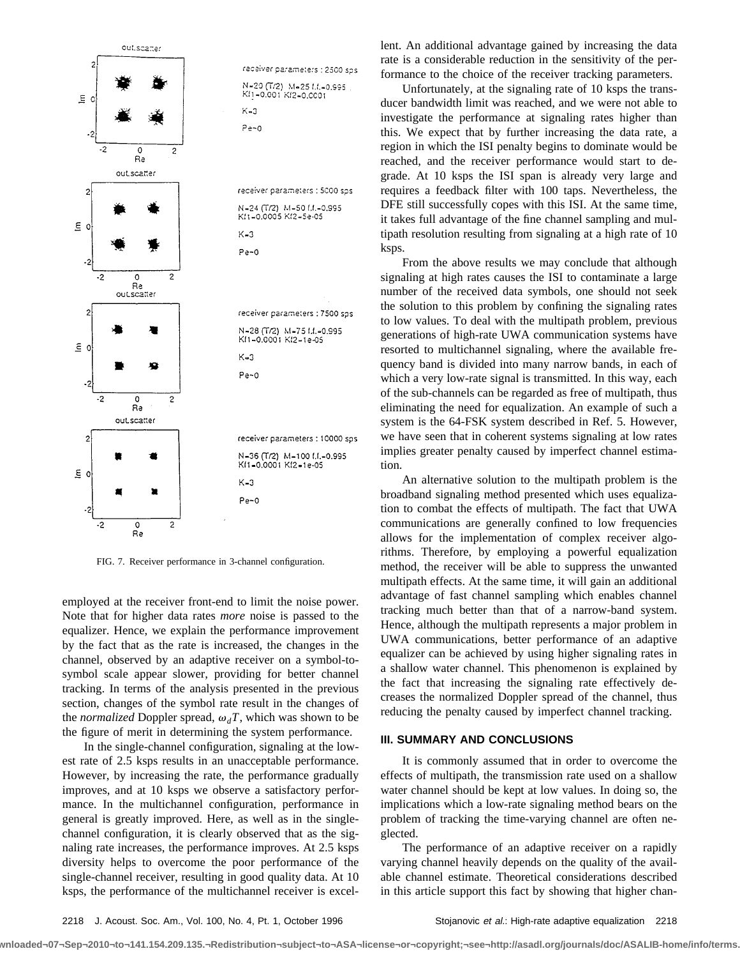

FIG. 7. Receiver performance in 3-channel configuration.

employed at the receiver front-end to limit the noise power. Note that for higher data rates *more* noise is passed to the equalizer. Hence, we explain the performance improvement by the fact that as the rate is increased, the changes in the channel, observed by an adaptive receiver on a symbol-tosymbol scale appear slower, providing for better channel tracking. In terms of the analysis presented in the previous section, changes of the symbol rate result in the changes of the *normalized* Doppler spread,  $\omega_d T$ , which was shown to be the figure of merit in determining the system performance.

In the single-channel configuration, signaling at the lowest rate of 2.5 ksps results in an unacceptable performance. However, by increasing the rate, the performance gradually improves, and at 10 ksps we observe a satisfactory performance. In the multichannel configuration, performance in general is greatly improved. Here, as well as in the singlechannel configuration, it is clearly observed that as the signaling rate increases, the performance improves. At 2.5 ksps diversity helps to overcome the poor performance of the single-channel receiver, resulting in good quality data. At 10 ksps, the performance of the multichannel receiver is excellent. An additional advantage gained by increasing the data rate is a considerable reduction in the sensitivity of the performance to the choice of the receiver tracking parameters.

Unfortunately, at the signaling rate of 10 ksps the transducer bandwidth limit was reached, and we were not able to investigate the performance at signaling rates higher than this. We expect that by further increasing the data rate, a region in which the ISI penalty begins to dominate would be reached, and the receiver performance would start to degrade. At 10 ksps the ISI span is already very large and requires a feedback filter with 100 taps. Nevertheless, the DFE still successfully copes with this ISI. At the same time, it takes full advantage of the fine channel sampling and multipath resolution resulting from signaling at a high rate of 10 ksps.

From the above results we may conclude that although signaling at high rates causes the ISI to contaminate a large number of the received data symbols, one should not seek the solution to this problem by confining the signaling rates to low values. To deal with the multipath problem, previous generations of high-rate UWA communication systems have resorted to multichannel signaling, where the available frequency band is divided into many narrow bands, in each of which a very low-rate signal is transmitted. In this way, each of the sub-channels can be regarded as free of multipath, thus eliminating the need for equalization. An example of such a system is the 64-FSK system described in Ref. 5. However, we have seen that in coherent systems signaling at low rates implies greater penalty caused by imperfect channel estimation.

An alternative solution to the multipath problem is the broadband signaling method presented which uses equalization to combat the effects of multipath. The fact that UWA communications are generally confined to low frequencies allows for the implementation of complex receiver algorithms. Therefore, by employing a powerful equalization method, the receiver will be able to suppress the unwanted multipath effects. At the same time, it will gain an additional advantage of fast channel sampling which enables channel tracking much better than that of a narrow-band system. Hence, although the multipath represents a major problem in UWA communications, better performance of an adaptive equalizer can be achieved by using higher signaling rates in a shallow water channel. This phenomenon is explained by the fact that increasing the signaling rate effectively decreases the normalized Doppler spread of the channel, thus reducing the penalty caused by imperfect channel tracking.

#### **III. SUMMARY AND CONCLUSIONS**

It is commonly assumed that in order to overcome the effects of multipath, the transmission rate used on a shallow water channel should be kept at low values. In doing so, the implications which a low-rate signaling method bears on the problem of tracking the time-varying channel are often neglected.

The performance of an adaptive receiver on a rapidly varying channel heavily depends on the quality of the available channel estimate. Theoretical considerations described in this article support this fact by showing that higher chan-